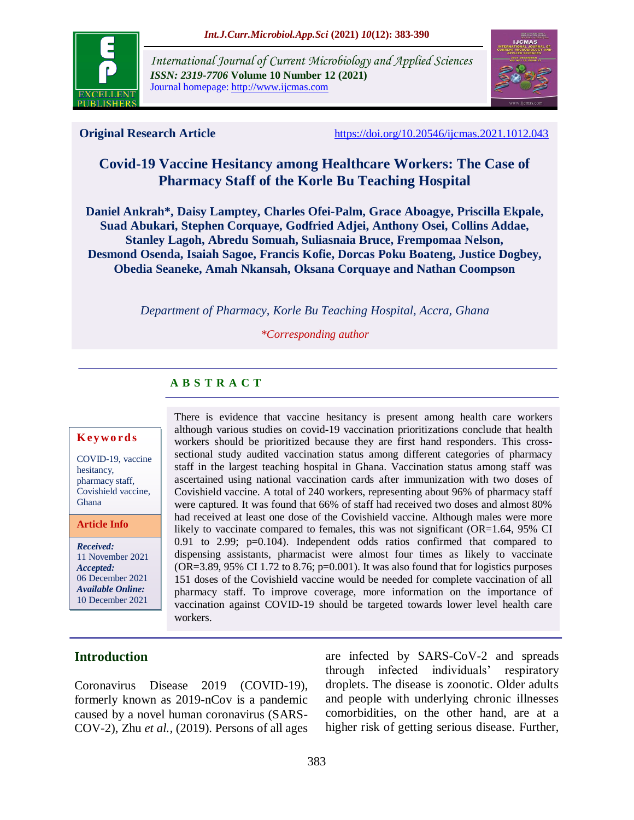

*International Journal of Current Microbiology and Applied Sciences ISSN: 2319-7706* **Volume 10 Number 12 (2021)**  Journal homepage: http://www.ijcmas.com



**Original Research Article** <https://doi.org/10.20546/ijcmas.2021.1012.043>

# **Covid-19 Vaccine Hesitancy among Healthcare Workers: The Case of Pharmacy Staff of the Korle Bu Teaching Hospital**

**Daniel Ankrah\*, Daisy Lamptey, Charles Ofei-Palm, Grace Aboagye, Priscilla Ekpale, Suad Abukari, Stephen Corquaye, Godfried Adjei, Anthony Osei, Collins Addae, Stanley Lagoh, Abredu Somuah, Suliasnaia Bruce, Frempomaa Nelson, Desmond Osenda, Isaiah Sagoe, Francis Kofie, Dorcas Poku Boateng, Justice Dogbey, Obedia Seaneke, Amah Nkansah, Oksana Corquaye and Nathan Coompson**

*Department of Pharmacy, Korle Bu Teaching Hospital, Accra, Ghana*

*\*Corresponding author*

## **A B S T R A C T**

#### **K ey w o rd s**

COVID-19, vaccine hesitancy, pharmacy staff, Covishield vaccine, Ghana

**Article Info**

*Received:*  11 November 2021 *Accepted:*  06 December 2021 *Available Online:* 10 December 2021

There is evidence that vaccine hesitancy is present among health care workers although various studies on covid-19 vaccination prioritizations conclude that health workers should be prioritized because they are first hand responders. This crosssectional study audited vaccination status among different categories of pharmacy staff in the largest teaching hospital in Ghana. Vaccination status among staff was ascertained using national vaccination cards after immunization with two doses of Covishield vaccine. A total of 240 workers, representing about 96% of pharmacy staff were captured. It was found that 66% of staff had received two doses and almost 80% had received at least one dose of the Covishield vaccine. Although males were more likely to vaccinate compared to females, this was not significant (OR=1.64, 95% CI 0.91 to 2.99; p=0.104). Independent odds ratios confirmed that compared to dispensing assistants, pharmacist were almost four times as likely to vaccinate (OR=3.89, 95% CI 1.72 to 8.76; p=0.001). It was also found that for logistics purposes 151 doses of the Covishield vaccine would be needed for complete vaccination of all pharmacy staff. To improve coverage, more information on the importance of vaccination against COVID-19 should be targeted towards lower level health care workers.

### **Introduction**

Coronavirus Disease 2019 (COVID-19), formerly known as 2019-nCov is a pandemic caused by a novel human coronavirus (SARS-COV-2), Zhu *et al.,* (2019). Persons of all ages are infected by SARS-CoV-2 and spreads through infected individuals' respiratory droplets. The disease is zoonotic. Older adults and people with underlying chronic illnesses comorbidities, on the other hand, are at a higher risk of getting serious disease. Further,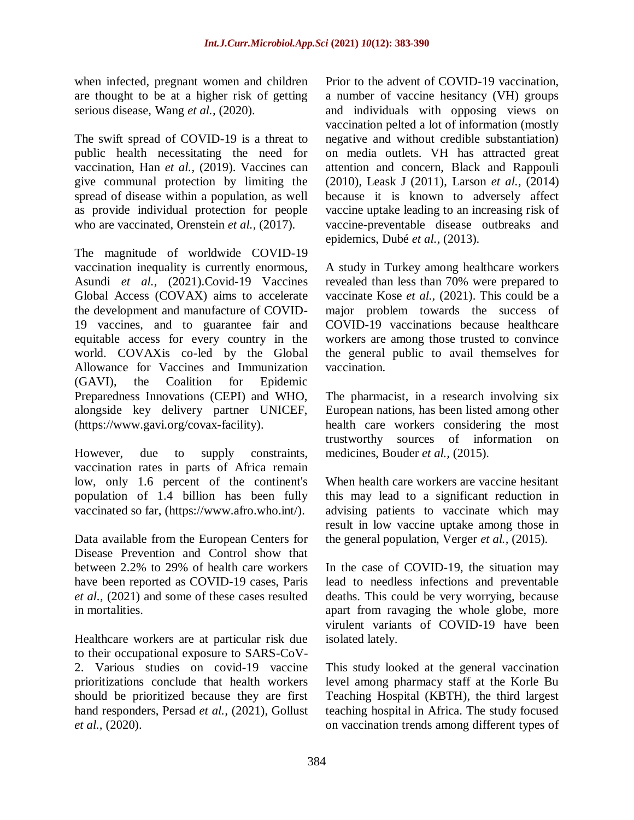when infected, pregnant women and children are thought to be at a higher risk of getting serious disease, Wang *et al.,* (2020).

The swift spread of COVID-19 is a threat to public health necessitating the need for vaccination, Han *et al.,* (2019). Vaccines can give communal protection by limiting the spread of disease within a population, as well as provide individual protection for people who are vaccinated, Orenstein *et al.*, (2017).

The magnitude of worldwide COVID-19 vaccination inequality is currently enormous, Asundi *et al.,* (2021).Covid-19 Vaccines Global Access (COVAX) aims to accelerate the development and manufacture of COVID-19 vaccines, and to guarantee fair and equitable access for every country in the world. COVAXis co-led by the Global Allowance for Vaccines and Immunization (GAVI), the Coalition for Epidemic Preparedness Innovations (CEPI) and WHO, alongside key delivery partner UNICEF, [\(https://www.gavi.org/covax-facility\)](https://www.gavi.org/covax-facility).

However, due to supply constraints, vaccination rates in parts of Africa remain low, only 1.6 percent of the continent's population of 1.4 billion has been fully vaccinated so far, [\(https://www.afro.who.int/\)](https://www.afro.who.int/).

Data available from the European Centers for Disease Prevention and Control show that between 2.2% to 29% of health care workers have been reported as COVID-19 cases, Paris *et al.,* (2021) and some of these cases resulted in mortalities.

Healthcare workers are at particular risk due to their occupational exposure to SARS-CoV-2. Various studies on covid-19 vaccine prioritizations conclude that health workers should be prioritized because they are first hand responders, Persad *et al.,* (2021), Gollust *et al.,* (2020).

Prior to the advent of COVID-19 vaccination, a number of vaccine hesitancy (VH) groups and individuals with opposing views on vaccination pelted a lot of information (mostly negative and without credible substantiation) on media outlets. VH has attracted great attention and concern, Black and Rappouli (2010), Leask J (2011), Larson *et al.,* (2014) because it is known to adversely affect vaccine uptake leading to an increasing risk of vaccine-preventable disease outbreaks and epidemics, Dubé *et al.,* (2013).

A study in Turkey among healthcare workers revealed than less than 70% were prepared to vaccinate Kose *et al.,* (2021). This could be a major problem towards the success of COVID-19 vaccinations because healthcare workers are among those trusted to convince the general public to avail themselves for vaccination.

The pharmacist, in a research involving six European nations, has been listed among other health care workers considering the most trustworthy sources of information on medicines, Bouder *et al.*, (2015).

When health care workers are vaccine hesitant this may lead to a significant reduction in advising patients to vaccinate which may result in low vaccine uptake among those in the general population, Verger *et al.,* (2015).

In the case of COVID-19, the situation may lead to needless infections and preventable deaths. This could be very worrying, because apart from ravaging the whole globe, more virulent variants of COVID-19 have been isolated lately.

This study looked at the general vaccination level among pharmacy staff at the Korle Bu Teaching Hospital (KBTH), the third largest teaching hospital in Africa. The study focused on vaccination trends among different types of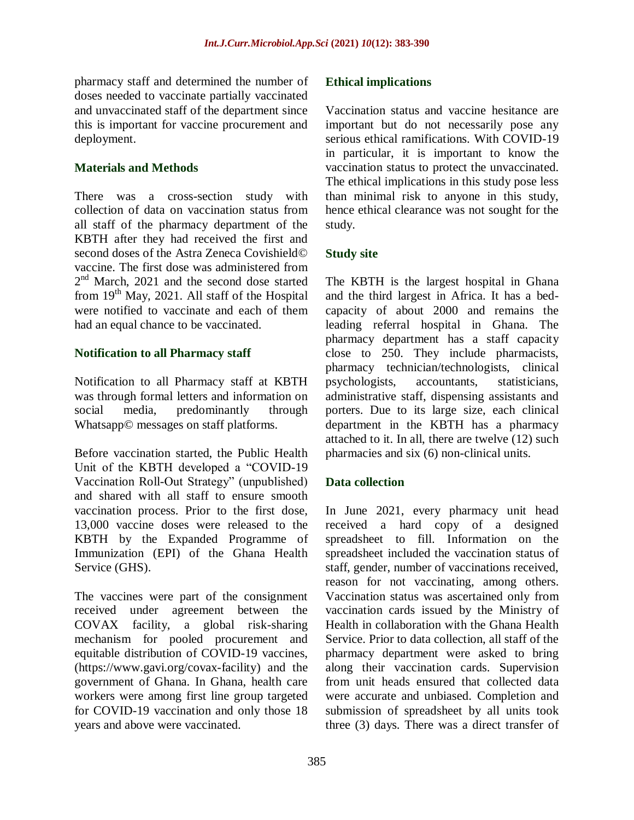pharmacy staff and determined the number of doses needed to vaccinate partially vaccinated and unvaccinated staff of the department since this is important for vaccine procurement and deployment.

## **Materials and Methods**

There was a cross-section study with collection of data on vaccination status from all staff of the pharmacy department of the KBTH after they had received the first and second doses of the Astra Zeneca Covishield© vaccine. The first dose was administered from 2<sup>nd</sup> March, 2021 and the second dose started from  $19<sup>th</sup>$  May, 2021. All staff of the Hospital were notified to vaccinate and each of them had an equal chance to be vaccinated.

### **Notification to all Pharmacy staff**

Notification to all Pharmacy staff at KBTH was through formal letters and information on social media, predominantly through Whatsapp© messages on staff platforms.

Before vaccination started, the Public Health Unit of the KBTH developed a "COVID-19 Vaccination Roll-Out Strategy" (unpublished) and shared with all staff to ensure smooth vaccination process. Prior to the first dose, 13,000 vaccine doses were released to the KBTH by the Expanded Programme of Immunization (EPI) of the Ghana Health Service (GHS).

The vaccines were part of the consignment received under agreement between the COVAX facility, a global risk-sharing mechanism for pooled procurement and equitable distribution of COVID-19 vaccines, [\(https://www.gavi.org/covax-facility\)](https://www.gavi.org/covax-facility) and the government of Ghana. In Ghana, health care workers were among first line group targeted for COVID-19 vaccination and only those 18 years and above were vaccinated.

## **Ethical implications**

Vaccination status and vaccine hesitance are important but do not necessarily pose any serious ethical ramifications. With COVID-19 in particular, it is important to know the vaccination status to protect the unvaccinated. The ethical implications in this study pose less than minimal risk to anyone in this study, hence ethical clearance was not sought for the study.

## **Study site**

The KBTH is the largest hospital in Ghana and the third largest in Africa. It has a bedcapacity of about 2000 and remains the leading referral hospital in Ghana. The pharmacy department has a staff capacity close to 250. They include pharmacists, pharmacy technician/technologists, clinical psychologists, accountants, statisticians, administrative staff, dispensing assistants and porters. Due to its large size, each clinical department in the KBTH has a pharmacy attached to it. In all, there are twelve (12) such pharmacies and six (6) non-clinical units.

### **Data collection**

In June 2021, every pharmacy unit head received a hard copy of a designed spreadsheet to fill. Information on the spreadsheet included the vaccination status of staff, gender, number of vaccinations received, reason for not vaccinating, among others. Vaccination status was ascertained only from vaccination cards issued by the Ministry of Health in collaboration with the Ghana Health Service. Prior to data collection, all staff of the pharmacy department were asked to bring along their vaccination cards. Supervision from unit heads ensured that collected data were accurate and unbiased. Completion and submission of spreadsheet by all units took three (3) days. There was a direct transfer of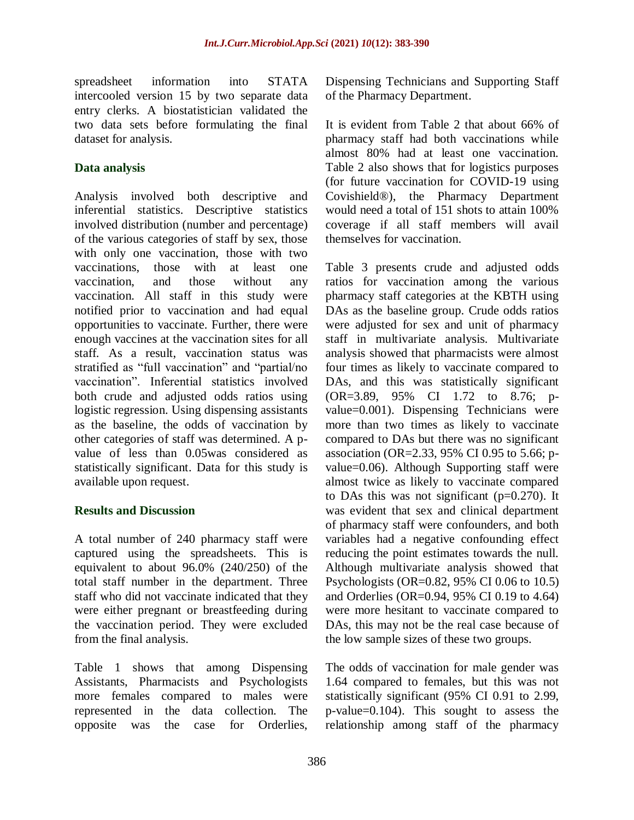spreadsheet information into STATA intercooled version 15 by two separate data entry clerks. A biostatistician validated the two data sets before formulating the final dataset for analysis.

## **Data analysis**

Analysis involved both descriptive and inferential statistics. Descriptive statistics involved distribution (number and percentage) of the various categories of staff by sex, those with only one vaccination, those with two vaccinations, those with at least one vaccination, and those without any vaccination. All staff in this study were notified prior to vaccination and had equal opportunities to vaccinate. Further, there were enough vaccines at the vaccination sites for all staff. As a result, vaccination status was stratified as "full vaccination" and "partial/no vaccination". Inferential statistics involved both crude and adjusted odds ratios using logistic regression. Using dispensing assistants as the baseline, the odds of vaccination by other categories of staff was determined. A pvalue of less than 0.05was considered as statistically significant. Data for this study is available upon request.

### **Results and Discussion**

A total number of 240 pharmacy staff were captured using the spreadsheets. This is equivalent to about 96.0% (240/250) of the total staff number in the department. Three staff who did not vaccinate indicated that they were either pregnant or breastfeeding during the vaccination period. They were excluded from the final analysis.

Table 1 shows that among Dispensing Assistants, Pharmacists and Psychologists more females compared to males were represented in the data collection. The opposite was the case for Orderlies,

Dispensing Technicians and Supporting Staff of the Pharmacy Department.

It is evident from Table 2 that about 66% of pharmacy staff had both vaccinations while almost 80% had at least one vaccination. Table 2 also shows that for logistics purposes (for future vaccination for COVID-19 using Covishield®), the Pharmacy Department would need a total of 151 shots to attain 100% coverage if all staff members will avail themselves for vaccination.

Table 3 presents crude and adjusted odds ratios for vaccination among the various pharmacy staff categories at the KBTH using DAs as the baseline group. Crude odds ratios were adjusted for sex and unit of pharmacy staff in multivariate analysis. Multivariate analysis showed that pharmacists were almost four times as likely to vaccinate compared to DAs, and this was statistically significant (OR=3.89, 95% CI 1.72 to 8.76; pvalue=0.001). Dispensing Technicians were more than two times as likely to vaccinate compared to DAs but there was no significant association (OR=2.33, 95% CI 0.95 to 5.66; pvalue=0.06). Although Supporting staff were almost twice as likely to vaccinate compared to DAs this was not significant  $(p=0.270)$ . It was evident that sex and clinical department of pharmacy staff were confounders, and both variables had a negative confounding effect reducing the point estimates towards the null. Although multivariate analysis showed that Psychologists (OR=0.82, 95% CI 0.06 to 10.5) and Orderlies (OR=0.94, 95% CI 0.19 to 4.64) were more hesitant to vaccinate compared to DAs, this may not be the real case because of the low sample sizes of these two groups.

The odds of vaccination for male gender was 1.64 compared to females, but this was not statistically significant (95% CI 0.91 to 2.99, p-value=0.104). This sought to assess the relationship among staff of the pharmacy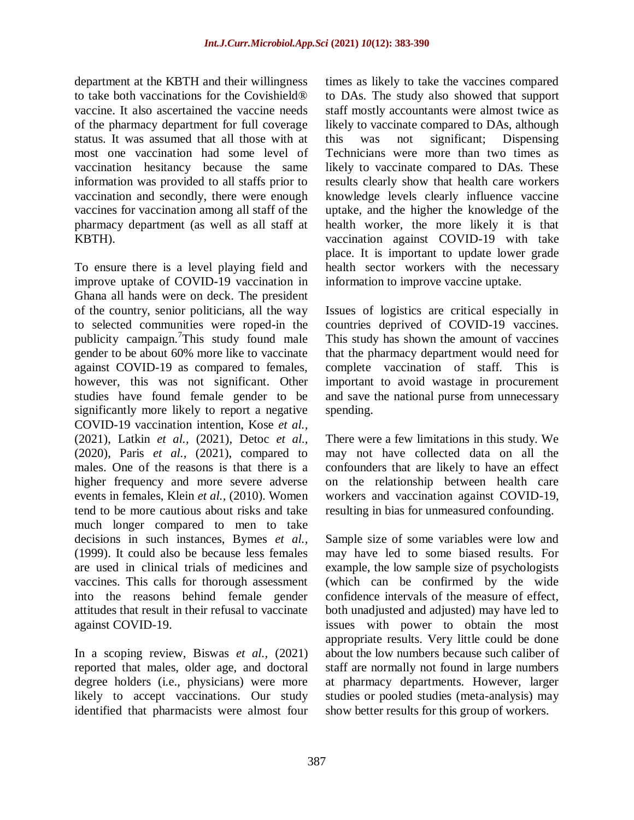department at the KBTH and their willingness to take both vaccinations for the Covishield® vaccine. It also ascertained the vaccine needs of the pharmacy department for full coverage status. It was assumed that all those with at most one vaccination had some level of vaccination hesitancy because the same information was provided to all staffs prior to vaccination and secondly, there were enough vaccines for vaccination among all staff of the pharmacy department (as well as all staff at KBTH).

To ensure there is a level playing field and improve uptake of COVID-19 vaccination in Ghana all hands were on deck. The president of the country, senior politicians, all the way to selected communities were roped-in the publicity campaign.<sup>7</sup>This study found male gender to be about 60% more like to vaccinate against COVID-19 as compared to females, however, this was not significant. Other studies have found female gender to be significantly more likely to report a negative COVID-19 vaccination intention, Kose *et al.,* (2021), Latkin *et al.,* (2021), Detoc *et al.,* (2020), Paris *et al.,* (2021), compared to males. One of the reasons is that there is a higher frequency and more severe adverse events in females, Klein *et al.,* (2010). Women tend to be more cautious about risks and take much longer compared to men to take decisions in such instances, Bymes *et al.,* (1999). It could also be because less females are used in clinical trials of medicines and vaccines. This calls for thorough assessment into the reasons behind female gender attitudes that result in their refusal to vaccinate against COVID-19.

In a scoping review, Biswas *et al.,* (2021) reported that males, older age, and doctoral degree holders (i.e., physicians) were more likely to accept vaccinations. Our study identified that pharmacists were almost four times as likely to take the vaccines compared to DAs. The study also showed that support staff mostly accountants were almost twice as likely to vaccinate compared to DAs, although this was not significant; Dispensing Technicians were more than two times as likely to vaccinate compared to DAs. These results clearly show that health care workers knowledge levels clearly influence vaccine uptake, and the higher the knowledge of the health worker, the more likely it is that vaccination against COVID-19 with take place. It is important to update lower grade health sector workers with the necessary information to improve vaccine uptake.

Issues of logistics are critical especially in countries deprived of COVID-19 vaccines. This study has shown the amount of vaccines that the pharmacy department would need for complete vaccination of staff. This is important to avoid wastage in procurement and save the national purse from unnecessary spending.

There were a few limitations in this study. We may not have collected data on all the confounders that are likely to have an effect on the relationship between health care workers and vaccination against COVID-19, resulting in bias for unmeasured confounding.

Sample size of some variables were low and may have led to some biased results. For example, the low sample size of psychologists (which can be confirmed by the wide confidence intervals of the measure of effect, both unadjusted and adjusted) may have led to issues with power to obtain the most appropriate results. Very little could be done about the low numbers because such caliber of staff are normally not found in large numbers at pharmacy departments. However, larger studies or pooled studies (meta-analysis) may show better results for this group of workers.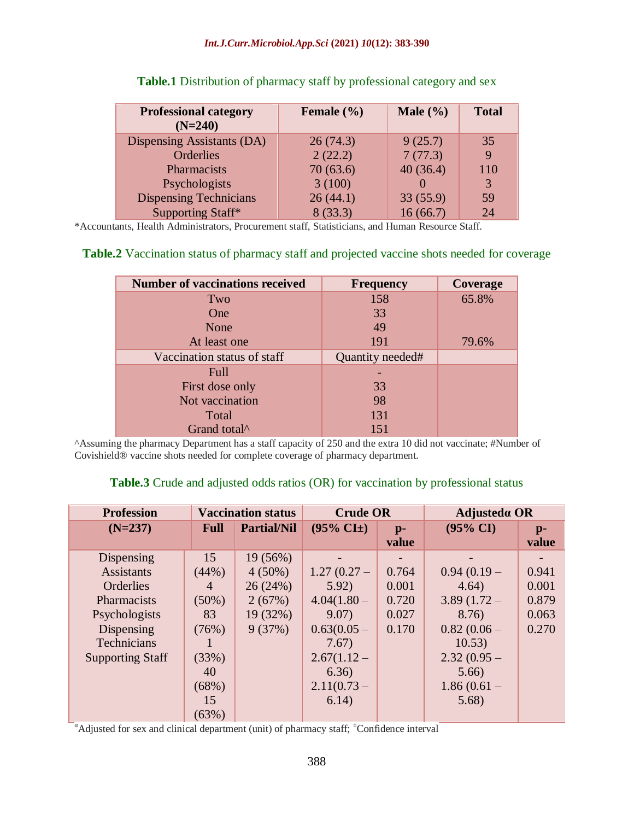#### *Int.J.Curr.Microbiol.App.Sci* **(2021)** *10***(12): 383-390**

| <b>Professional category</b><br>$(N=240)$ | Female $(\% )$ | Male $(\% )$ | <b>Total</b> |
|-------------------------------------------|----------------|--------------|--------------|
| Dispensing Assistants (DA)                | 26(74.3)       | 9(25.7)      | 35           |
| Orderlies                                 | 2(22.2)        | 7(77.3)      | <b>9</b>     |
| Pharmacists                               | 70(63.6)       | 40(36.4)     | 110          |
| Psychologists                             | 3(100)         |              | 3            |
| <b>Dispensing Technicians</b>             | 26(44.1)       | 33(55.9)     | 59           |
| Supporting Staff*                         | 8(33.3)        | 16(66.7)     | 24           |

#### **Table.1** Distribution of pharmacy staff by professional category and sex

\*Accountants, Health Administrators, Procurement staff, Statisticians, and Human Resource Staff.

#### **Table.2** Vaccination status of pharmacy staff and projected vaccine shots needed for coverage

| <b>Number of vaccinations received</b> | <b>Frequency</b> | Coverage |
|----------------------------------------|------------------|----------|
| Two                                    | 158              | 65.8%    |
| <b>One</b>                             | 33               |          |
| None                                   | 49               |          |
| At least one                           | 191              | 79.6%    |
| Vaccination status of staff            | Quantity needed# |          |
| Full                                   |                  |          |
| First dose only                        | 33               |          |
| Not vaccination                        | 98               |          |
| Total                                  | 131              |          |
| Grand total <sup>^</sup>               | 151              |          |

^Assuming the pharmacy Department has a staff capacity of 250 and the extra 10 did not vaccinate; #Number of Covishield® vaccine shots needed for complete coverage of pharmacy department.

#### **Table.3** Crude and adjusted odds ratios (OR) for vaccination by professional status

| <b>Profession</b>       | <b>Vaccination status</b> |                    | <b>Crude OR</b>           |               | Adjusted $\alpha$ OR |               |
|-------------------------|---------------------------|--------------------|---------------------------|---------------|----------------------|---------------|
| $(N=237)$               | <b>Full</b>               | <b>Partial/Nil</b> | $(95\% \text{ CI}^{\pm})$ | $p-$<br>value | $(95\% \text{ CI})$  | $p-$<br>value |
| Dispensing              | 15                        | 19 (56%)           |                           |               |                      |               |
| <b>Assistants</b>       | (44%)                     | $4(50\%)$          | $1.27(0.27 -$             | 0.764         | $0.94(0.19 -$        | 0.941         |
| Orderlies               | $\overline{4}$            | 26(24%)            | 5.92)                     | 0.001         | 4.64)                | 0.001         |
| Pharmacists             | $(50\%)$                  | 2(67%)             | $4.04(1.80 -$             | 0.720         | $3.89(1.72 -$        | 0.879         |
| Psychologists           | 83                        | 19 (32%)           | 9.07)                     | 0.027         | 8.76)                | 0.063         |
| Dispensing              | (76%)                     | 9(37%)             | $0.63(0.05 -$             | 0.170         | $0.82(0.06 -$        | 0.270         |
| Technicians             |                           |                    | 7.67)                     |               | 10.53)               |               |
| <b>Supporting Staff</b> | (33%)                     |                    | $2.67(1.12 -$             |               | $2.32(0.95 -$        |               |
|                         | 40                        |                    | 6.36)                     |               | 5.66                 |               |
|                         | (68%)                     |                    | $2.11(0.73 -$             |               | $1.86(0.61 -$        |               |
|                         | 15                        |                    | 6.14)                     |               | 5.68)                |               |
|                         | (63%)                     |                    |                           |               |                      |               |

 $a$ Adjusted for sex and clinical department (unit) of pharmacy staff;  $\pm$ Confidence interval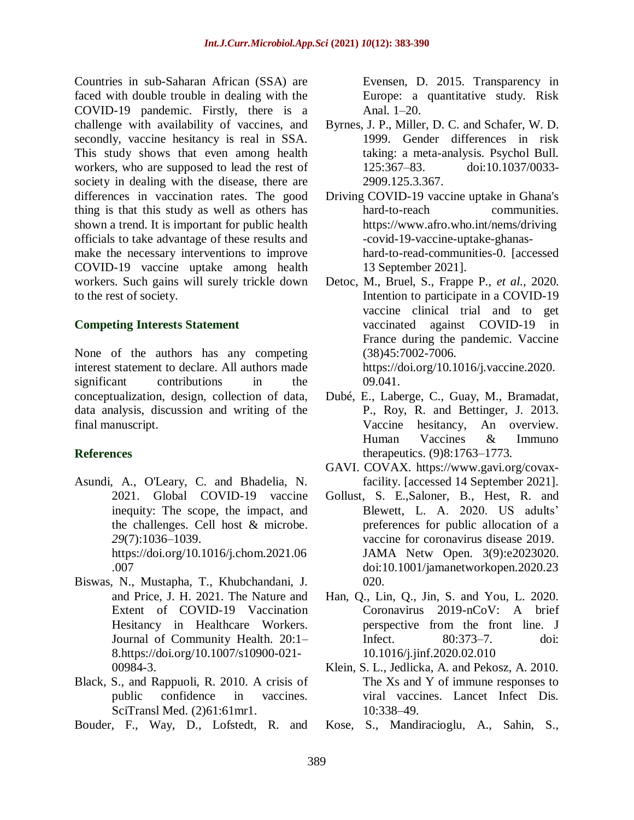Countries in sub-Saharan African (SSA) are faced with double trouble in dealing with the COVID-19 pandemic. Firstly, there is a challenge with availability of vaccines, and secondly, vaccine hesitancy is real in SSA. This study shows that even among health workers, who are supposed to lead the rest of society in dealing with the disease, there are differences in vaccination rates. The good thing is that this study as well as others has shown a trend. It is important for public health officials to take advantage of these results and make the necessary interventions to improve COVID-19 vaccine uptake among health workers. Such gains will surely trickle down to the rest of society.

#### **Competing Interests Statement**

None of the authors has any competing interest statement to declare. All authors made significant contributions in the conceptualization, design, collection of data, data analysis, discussion and writing of the final manuscript.

### **References**

- Asundi, A., O'Leary, C. and Bhadelia, N. 2021. Global COVID-19 vaccine inequity: The scope, the impact, and the challenges. Cell host & microbe. *29*(7):1036–1039. https://doi.org/10.1016/j.chom.2021.06 .007
- Biswas, N., Mustapha, T., Khubchandani, J. and Price, J. H. 2021. The Nature and Extent of COVID-19 Vaccination Hesitancy in Healthcare Workers. Journal of Community Health. 20:1– 8[.https://doi.org/10.1007/s10900-021-](https://doi.org/10.1007/s10900-021-00984-3) [00984-3.](https://doi.org/10.1007/s10900-021-00984-3)
- Black, S., and Rappuoli, R. 2010. A crisis of public confidence in vaccines. SciTransl Med. (2)61:61mr1.
- Bouder, F., Way, D., Lofstedt, R. and

Evensen, D. 2015. Transparency in Europe: a quantitative study. Risk Anal. 1–20.

- Byrnes, J. P., Miller, D. C. and Schafer, W. D. 1999. Gender differences in risk taking: a meta-analysis. Psychol Bull. 125:367–83. doi:10.1037/0033- 2909.125.3.367.
- Driving COVID-19 vaccine uptake in Ghana's hard-to-reach communities. [https://www.afro.who.int/nems/driving](https://www.afro.who.int/nems/driving-covid-19-vaccine-uptake-ghanas-hard-to-read-communities-0) [-covid-19-vaccine-uptake-ghanas](https://www.afro.who.int/nems/driving-covid-19-vaccine-uptake-ghanas-hard-to-read-communities-0)[hard-to-read-communities-0.](https://www.afro.who.int/nems/driving-covid-19-vaccine-uptake-ghanas-hard-to-read-communities-0) [accessed 13 September 2021].
- Detoc, M., Bruel, S., Frappe P., *et al.,* 2020. Intention to participate in a COVID-19 vaccine clinical trial and to get vaccinated against COVID-19 in France during the pandemic. Vaccine (38)45:7002-7006. [https://doi.org/10.1016/j.vaccine.2020.](https://doi.org/10.1016/j.vaccine.2020.09.041) [09.041.](https://doi.org/10.1016/j.vaccine.2020.09.041)
- Dubé, E., Laberge, C., Guay, M., Bramadat, P., Roy, R. and Bettinger, J. 2013. Vaccine hesitancy, An overview. Human Vaccines & Immuno therapeutics. (9)8:1763–1773.
- GAVI. COVAX. [https://www.gavi.org/covax](https://www.gavi.org/covax-facility)[facility.](https://www.gavi.org/covax-facility) [accessed 14 September 2021].
- Gollust, S. E.,Saloner, B., Hest, R. and Blewett, L. A. 2020. US adults' preferences for public allocation of a vaccine for coronavirus disease 2019. JAMA Netw Open. 3(9):e2023020. doi[:10.1001/jamanetworkopen.2020.23](http://jamanetwork.com/article.aspx?doi=10.1001/jamanetworkopen.2020.23020) [020.](http://jamanetwork.com/article.aspx?doi=10.1001/jamanetworkopen.2020.23020)
- Han, Q., Lin, Q., Jin, S. and You, L. 2020. Coronavirus 2019-nCoV: A brief perspective from the front line. J Infect*.* 80:373–7. doi: 10.1016/j.jinf.2020.02.010
- Klein, S. L., Jedlicka, A. and Pekosz, A. 2010. The Xs and Y of immune responses to viral vaccines. Lancet Infect Dis. 10:338–49.
- Kose, S., Mandiracioglu, A., Sahin, S.,